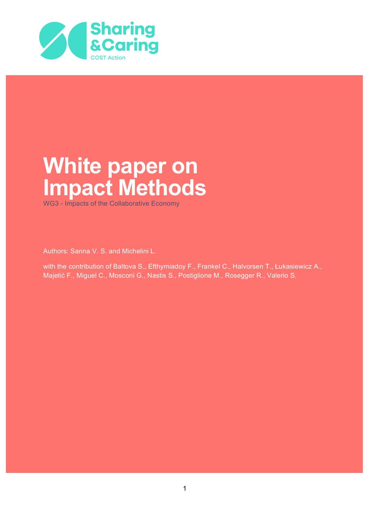

# **White paper on Impact Methods**

WG3 - Impacts of the Collaborative Economy

Authors: Sanna V. S. and Michelini L.

with the contribution of Baltova S., Efthymiadoy F., Frankel C., Halvorsen T., Łukasiewicz A., Majetić F., Miguel C., Mosconi G., Nastis S., Postiglione M., Rosegger R., Valerio S.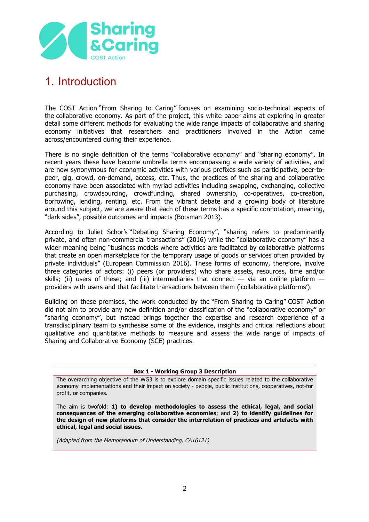

# 1. Introduction

The COST Action "From Sharing to Caring" focuses on examining socio-technical aspects of the collaborative economy. As part of the project, this white paper aims at exploring in greater detail some different methods for evaluating the wide range impacts of collaborative and sharing economy initiatives that researchers and practitioners involved in the Action came across/encountered during their experience.

There is no single definition of the terms "collaborative economy" and "sharing economy". In recent years these have become umbrella terms encompassing a wide variety of activities, and are now synonymous for economic activities with various prefixes such as participative, peer-topeer, gig, crowd, on-demand, access, etc. Thus, the practices of the sharing and collaborative economy have been associated with myriad activities including swapping, exchanging, collective purchasing, crowdsourcing, crowdfunding, shared ownership, co-operatives, co-creation, borrowing, lending, renting, etc. From the vibrant debate and a growing body of literature around this subject, we are aware that each of these terms has a specific connotation, meaning, "dark sides", possible outcomes and impacts (Botsman 2013).

According to Juliet Schor's "Debating Sharing Economy", "sharing refers to predominantly private, and often non-commercial transactions" (2016) while the "collaborative economy" has a wider meaning being "business models where activities are facilitated by collaborative platforms that create an open marketplace for the temporary usage of goods or services often provided by private individuals" (European Commission 2016). These forms of economy, therefore, involve three categories of actors: (i) peers (or providers) who share assets, resources, time and/or skills; (ii) users of these; and (iii) intermediaries that connect  $-$  via an online platform  $$ providers with users and that facilitate transactions between them ('collaborative platforms').

Building on these premises, the work conducted by the "From Sharing to Caring" COST Action did not aim to provide any new definition and/or classification of the "collaborative economy" or "sharing economy", but instead brings together the expertise and research experience of a transdisciplinary team to synthesise some of the evidence, insights and critical reflections about qualitative and quantitative methods to measure and assess the wide range of impacts of Sharing and Collaborative Economy (SCE) practices.

#### **Box 1 - Working Group 3 Description**

The overarching objective of the WG3 is to explore domain specific issues related to the collaborative economy implementations and their impact on society - people, public institutions, cooperatives, not-for profit, or companies.

The aim is twofold: **1) to develop methodologies to assess the ethical, legal, and social consequences of the emerging collaborative economies**; and **2) to identify guidelines for the design of new platforms that consider the interrelation of practices and artefacts with ethical, legal and social issues.**

(Adapted from the Memorandum of Understanding, CA16121)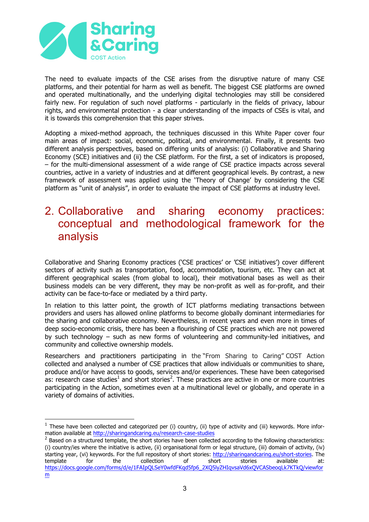

 $\overline{a}$ 

The need to evaluate impacts of the CSE arises from the disruptive nature of many CSE platforms, and their potential for harm as well as benefit. The biggest CSE platforms are owned and operated multinationally, and the underlying digital technologies may still be considered fairly new. For regulation of such novel platforms - particularly in the fields of privacy, labour rights, and environmental protection - a clear understanding of the impacts of CSEs is vital, and it is towards this comprehension that this paper strives.

Adopting a mixed-method approach, the techniques discussed in this White Paper cover four main areas of impact: social, economic, political, and environmental. Finally, it presents two different analysis perspectives, based on differing units of analysis: (i) Collaborative and Sharing Economy (SCE) initiatives and (ii) the CSE platform. For the first, a set of indicators is proposed, – for the multi-dimensional assessment of a wide range of CSE practice impacts across several countries, active in a variety of industries and at different geographical levels. By contrast, a new framework of assessment was applied using the 'Theory of Change' by considering the CSE platform as "unit of analysis", in order to evaluate the impact of CSE platforms at industry level.

## 2. Collaborative and sharing economy practices: conceptual and methodological framework for the analysis

Collaborative and Sharing Economy practices ('CSE practices' or 'CSE initiatives') cover different sectors of activity such as transportation, food, accommodation, tourism, etc. They can act at different geographical scales (from global to local), their motivational bases as well as their business models can be very different, they may be non-profit as well as for-profit, and their activity can be face-to-face or mediated by a third party.

In relation to this latter point, the growth of ICT platforms mediating transactions between providers and users has allowed online platforms to become globally dominant intermediaries for the sharing and collaborative economy. Nevertheless, in recent years and even more in times of deep socio-economic crisis, there has been a flourishing of CSE practices which are not powered by such technology – such as new forms of volunteering and community-led initiatives, and community and collective ownership models.

Researchers and practitioners participating in the "From Sharing to Caring" COST Action collected and analysed a number of CSE practices that allow individuals or communities to share, produce and/or have access to goods, services and/or experiences. These have been categorised as: research case studies<sup>1</sup> and short stories<sup>2</sup>. These practices are active in one or more countries participating in the Action, sometimes even at a multinational level or globally, and operate in a variety of domains of activities.

 $1$  These have been collected and categorized per (i) country, (ii) type of activity and (iii) keywords. More information available at http://sharingandcaring.eu/research-case-studies

 $<sup>2</sup>$  Based on a structured template, the short stories have been collected according to the following characteristics:</sup> (i) country/ies where the initiative is active, (ii) organisational form or legal structure, (iii) domain of activity, (iv) starting year, (vi) keywords. For the full repository of short stories: http://sharingandcaring.eu/short-stories. The template for the collection of short stories available at: https://docs.google.com/forms/d/e/1FAIpQLSeY0wfdFKqd5fp6\_2XQ5lyZHIqvsaVd6xQVCASbeoqLk7KTkQ/viewfor m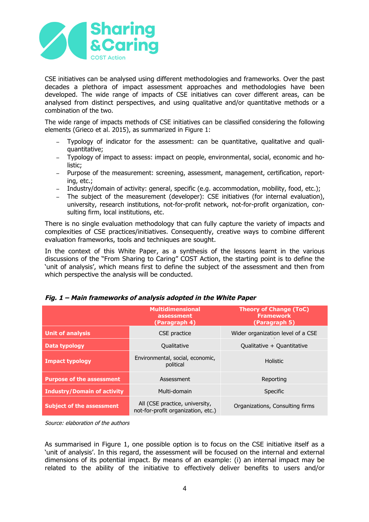

CSE initiatives can be analysed using different methodologies and frameworks. Over the past decades a plethora of impact assessment approaches and methodologies have been developed. The wide range of impacts of CSE initiatives can cover different areas, can be analysed from distinct perspectives, and using qualitative and/or quantitative methods or a combination of the two.

The wide range of impacts methods of CSE initiatives can be classified considering the following elements (Grieco et al. 2015), as summarized in Figure 1:

- Typology of indicator for the assessment: can be quantitative, qualitative and qualiquantitative;
- − Typology of impact to assess: impact on people, environmental, social, economic and holistic;
- − Purpose of the measurement: screening, assessment, management, certification, reporting, etc.;
- − Industry/domain of activity: general, specific (e.g. accommodation, mobility, food, etc.);
- − The subject of the measurement (developer): CSE initiatives (for internal evaluation), university, research institutions, not-for-profit network, not-for-profit organization, consulting firm, local institutions, etc.

There is no single evaluation methodology that can fully capture the variety of impacts and complexities of CSE practices/initiatives. Consequently, creative ways to combine different evaluation frameworks, tools and techniques are sought.

In the context of this White Paper, as a synthesis of the lessons learnt in the various discussions of the "From Sharing to Caring" COST Action, the starting point is to define the 'unit of analysis', which means first to define the subject of the assessment and then from which perspective the analysis will be conducted.

|                                    | <b>Multidimensional</b><br>assessment<br>(Paragraph 4)               | <b>Theory of Change (ToC)</b><br><b>Framework</b><br>(Paragraph 5) |
|------------------------------------|----------------------------------------------------------------------|--------------------------------------------------------------------|
| <b>Unit of analysis</b>            | CSE practice                                                         | Wider organization level of a CSE                                  |
| Data typology                      | Qualitative                                                          | Qualitative + Quantitative                                         |
| <b>Impact typology</b>             | Environmental, social, economic,<br>political                        | <b>Holistic</b>                                                    |
| <b>Purpose of the assessment</b>   | Assessment                                                           | Reporting                                                          |
| <b>Industry/Domain of activity</b> | Multi-domain                                                         | Specific                                                           |
| <b>Subject of the assessment</b>   | All (CSE practice, university,<br>not-for-profit organization, etc.) | Organizations, Consulting firms                                    |

#### **Fig. 1 – Main frameworks of analysis adopted in the White Paper**

Source: elaboration of the authors

As summarised in Figure 1, one possible option is to focus on the CSE initiative itself as a 'unit of analysis'. In this regard, the assessment will be focused on the internal and external dimensions of its potential impact. By means of an example: (i) an internal impact may be related to the ability of the initiative to effectively deliver benefits to users and/or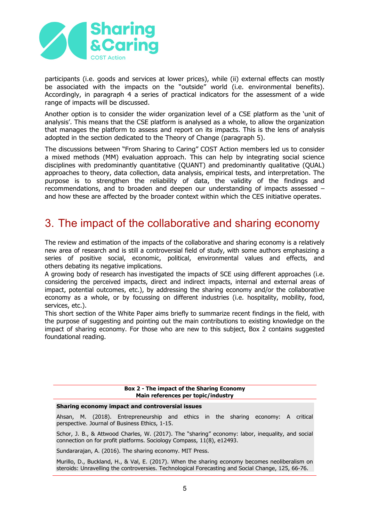

participants (i.e. goods and services at lower prices), while (ii) external effects can mostly be associated with the impacts on the "outside" world (i.e. environmental benefits). Accordingly, in paragraph 4 a series of practical indicators for the assessment of a wide range of impacts will be discussed.

Another option is to consider the wider organization level of a CSE platform as the 'unit of analysis'. This means that the CSE platform is analysed as a whole, to allow the organization that manages the platform to assess and report on its impacts. This is the lens of analysis adopted in the section dedicated to the Theory of Change (paragraph 5).

The discussions between "From Sharing to Caring" COST Action members led us to consider a mixed methods (MM) evaluation approach. This can help by integrating social science disciplines with predominantly quantitative (QUANT) and predominantly qualitative (QUAL) approaches to theory, data collection, data analysis, empirical tests, and interpretation. The purpose is to strengthen the reliability of data, the validity of the findings and recommendations, and to broaden and deepen our understanding of impacts assessed – and how these are affected by the broader context within which the CES initiative operates.

# 3. The impact of the collaborative and sharing economy

The review and estimation of the impacts of the collaborative and sharing economy is a relatively new area of research and is still a controversial field of study, with some authors emphasizing a series of positive social, economic, political, environmental values and effects, and others debating its negative implications.

A growing body of research has investigated the impacts of SCE using different approaches (i.e. considering the perceived impacts, direct and indirect impacts, internal and external areas of impact, potential outcomes, etc.), by addressing the sharing economy and/or the collaborative economy as a whole, or by focussing on different industries (i.e. hospitality, mobility, food, services, etc.).

This short section of the White Paper aims briefly to summarize recent findings in the field, with the purpose of suggesting and pointing out the main contributions to existing knowledge on the impact of sharing economy. For those who are new to this subject, Box 2 contains suggested foundational reading.

#### **Box 2 - The impact of the Sharing Economy Main references per topic/industry**

#### **Sharing economy impact and controversial issues**

Ahsan, M. (2018). Entrepreneurship and ethics in the sharing economy: A critical perspective. Journal of Business Ethics, 1-15.

Schor, J. B., & Attwood Charles, W. (2017). The "sharing" economy: labor, inequality, and social connection on for profit platforms. Sociology Compass, 11(8), e12493.

Sundararajan, A. (2016). The sharing economy. MIT Press.

Murillo, D., Buckland, H., & Val, E. (2017). When the sharing economy becomes neoliberalism on steroids: Unravelling the controversies. Technological Forecasting and Social Change, 125, 66-76.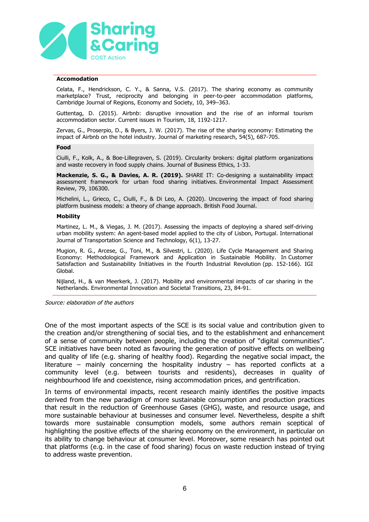

#### **Accomodation**

Celata, F., Hendrickson, C. Y., & Sanna, V.S. (2017). The sharing economy as community marketplace? Trust, reciprocity and belonging in peer-to-peer accommodation platforms, Cambridge Journal of Regions, Economy and Society, 10, 349–363.

Guttentag, D. (2015). Airbnb: disruptive innovation and the rise of an informal tourism accommodation sector. Current issues in Tourism, 18, 1192-1217.

Zervas, G., Proserpio, D., & Byers, J. W. (2017). The rise of the sharing economy: Estimating the impact of Airbnb on the hotel industry. Journal of marketing research, 54(5), 687-705.

#### **Food**

Ciulli, F., Kolk, A., & Boe-Lillegraven, S. (2019). Circularity brokers: digital platform organizations and waste recovery in food supply chains. Journal of Business Ethics, 1-33.

**Mackenzie, S. G., & Davies, A. R. (2019).** SHARE IT: Co-designing a sustainability impact assessment framework for urban food sharing initiatives. Environmental Impact Assessment Review, 79, 106300.

Michelini, L., Grieco, C., Ciulli, F., & Di Leo, A. (2020). Uncovering the impact of food sharing platform business models: a theory of change approach. British Food Journal.

#### **Mobility**

Martinez, L. M., & Viegas, J. M. (2017). Assessing the impacts of deploying a shared self-driving urban mobility system: An agent-based model applied to the city of Lisbon, Portugal. International Journal of Transportation Science and Technology, 6(1), 13-27.

Mugion, R. G., Arcese, G., Toni, M., & Silvestri, L. (2020). Life Cycle Management and Sharing Economy: Methodological Framework and Application in Sustainable Mobility. In Customer Satisfaction and Sustainability Initiatives in the Fourth Industrial Revolution (pp. 152-166). IGI Global.

Nijland, H., & van Meerkerk, J. (2017). Mobility and environmental impacts of car sharing in the Netherlands. Environmental Innovation and Societal Transitions, 23, 84-91.

Source: elaboration of the authors

One of the most important aspects of the SCE is its social value and contribution given to the creation and/or strengthening of social ties, and to the establishment and enhancement of a sense of community between people, including the creation of "digital communities". SCE initiatives have been noted as favouring the generation of positive effects on wellbeing and quality of life (e.g. sharing of healthy food). Regarding the negative social impact, the literature – mainly concerning the hospitality industry – has reported conflicts at a community level (e.g. between tourists and residents), decreases in quality of neighbourhood life and coexistence, rising accommodation prices, and gentrification.

In terms of environmental impacts, recent research mainly identifies the positive impacts derived from the new paradigm of more sustainable consumption and production practices that result in the reduction of Greenhouse Gases (GHG), waste, and resource usage, and more sustainable behaviour at businesses and consumer level. Nevertheless, despite a shift towards more sustainable consumption models, some authors remain sceptical of highlighting the positive effects of the sharing economy on the environment, in particular on its ability to change behaviour at consumer level. Moreover, some research has pointed out that platforms (e.g. in the case of food sharing) focus on waste reduction instead of trying to address waste prevention.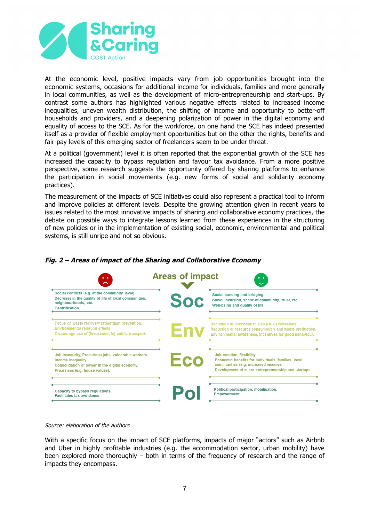

At the economic level, positive impacts vary from job opportunities brought into the economic systems, occasions for additional income for individuals, families and more generally in local communities, as well as the development of micro-entrepreneurship and start-ups. By contrast some authors has highlighted various negative effects related to increased income inequalities, uneven wealth distribution, the shifting of income and opportunity to better-off households and providers, and a deepening polarization of power in the digital economy and equality of access to the SCE. As for the workforce, on one hand the SCE has indeed presented itself as a provider of flexible employment opportunities but on the other the rights, benefits and fair-pay levels of this emerging sector of freelancers seem to be under threat.

At a political (government) level it is often reported that the exponential growth of the SCE has increased the capacity to bypass regulation and favour tax avoidance. From a more positive perspective, some research suggests the opportunity offered by sharing platforms to enhance the participation in social movements (e.g. new forms of social and solidarity economy practices).

The measurement of the impacts of SCE initiatives could also represent a practical tool to inform and improve policies at different levels. Despite the growing attention given in recent years to issues related to the most innovative impacts of sharing and collaborative economy practices, the debate on possible ways to integrate lessons learned from these experiences in the structuring of new policies or in the implementation of existing social, economic, environmental and political systems, is still unripe and not so obvious.



### **Fig. 2 – Areas of impact of the Sharing and Collaborative Economy**

#### Source: elaboration of the authors

With a specific focus on the impact of SCE platforms, impacts of major "actors" such as Airbnb and Uber in highly profitable industries (e.g. the accommodation sector, urban mobility) have been explored more thoroughly – both in terms of the frequency of research and the range of impacts they encompass.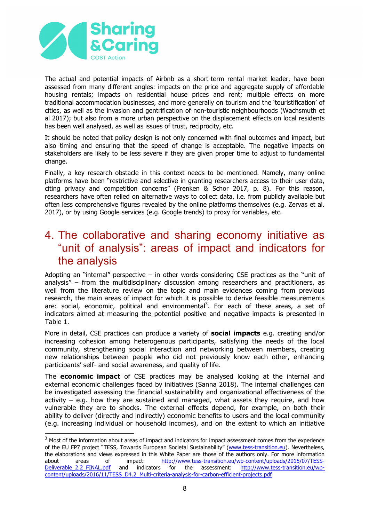

The actual and potential impacts of Airbnb as a short-term rental market leader, have been assessed from many different angles: impacts on the price and aggregate supply of affordable housing rentals; impacts on residential house prices and rent; multiple effects on more traditional accommodation businesses, and more generally on tourism and the 'touristification' of cities, as well as the invasion and gentrification of non-touristic neighbourhoods (Wachsmuth et al 2017); but also from a more urban perspective on the displacement effects on local residents has been well analysed, as well as issues of trust, reciprocity, etc.

It should be noted that policy design is not only concerned with final outcomes and impact, but also timing and ensuring that the speed of change is acceptable. The negative impacts on stakeholders are likely to be less severe if they are given proper time to adjust to fundamental change.

Finally, a key research obstacle in this context needs to be mentioned. Namely, many online platforms have been "restrictive and selective in granting researchers access to their user data, citing privacy and competition concerns" (Frenken & Schor 2017, p. 8). For this reason, researchers have often relied on alternative ways to collect data, i.e. from publicly available but often less comprehensive figures revealed by the online platforms themselves (e.g. Zervas et al. 2017), or by using Google services (e.g. Google trends) to proxy for variables, etc.

## 4. The collaborative and sharing economy initiative as "unit of analysis": areas of impact and indicators for the analysis

Adopting an "internal" perspective  $-$  in other words considering CSE practices as the "unit of analysis" – from the multidisciplinary discussion among researchers and practitioners, as well from the literature review on the topic and main evidences coming from previous research, the main areas of impact for which it is possible to derive feasible measurements are: social, economic, political and environmental<sup>3</sup>. For each of these areas, a set of indicators aimed at measuring the potential positive and negative impacts is presented in Table 1.

More in detail, CSE practices can produce a variety of **social impacts** e.g. creating and/or increasing cohesion among heterogenous participants, satisfying the needs of the local community, strengthening social interaction and networking between members, creating new relationships between people who did not previously know each other, enhancing participants' self- and social awareness, and quality of life.

The **economic impact** of CSE practices may be analysed looking at the internal and external economic challenges faced by initiatives (Sanna 2018). The internal challenges can be investigated assessing the financial sustainability and organizational effectiveness of the activity  $-$  e.g. how they are sustained and managed, what assets they require, and how vulnerable they are to shocks. The external effects depend, for example, on both their ability to deliver (directly and indirectly) economic benefits to users and the local community (e.g. increasing individual or household incomes), and on the extent to which an initiative

 $3$  Most of the information about areas of impact and indicators for impact assessment comes from the experience of the EU FP7 project "TESS, Towards European Societal Sustainability" (www.tess-transition.eu). Nevertheless, the elaborations and views expressed in this White Paper are those of the authors only. For more information about areas of impact: http://www.tess-transition.eu/wp-content/uploads/2015/07/TESS-Deliverable 2.2 FINAL.pdf and indicators for the assessment: http://www.tess-transition.eu/wpcontent/uploads/2016/11/TESS\_D4.2\_Multi-criteria-analysis-for-carbon-efficient-projects.pdf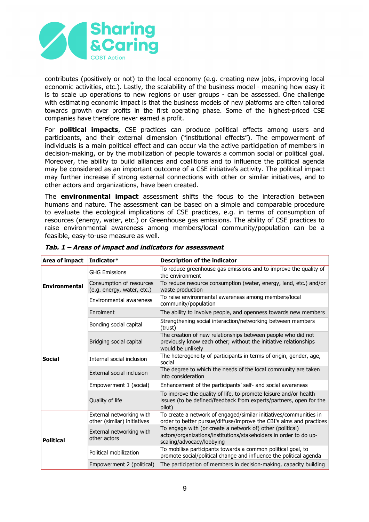

contributes (positively or not) to the local economy (e.g. creating new jobs, improving local economic activities, etc.). Lastly, the scalability of the business model - meaning how easy it is to scale up operations to new regions or user groups - can be assessed. One challenge with estimating economic impact is that the business models of new platforms are often tailored towards growth over profits in the first operating phase. Some of the highest-priced CSE companies have therefore never earned a profit.

For **political impacts**, CSE practices can produce political effects among users and participants, and their external dimension ("institutional effects"). The empowerment of individuals is a main political effect and can occur via the active participation of members in decision-making, or by the mobilization of people towards a common social or political goal. Moreover, the ability to build alliances and coalitions and to influence the political agenda may be considered as an important outcome of a CSE initiative's activity. The political impact may further increase if strong external connections with other or similar initiatives, and to other actors and organizations, have been created.

The **environmental impact** assessment shifts the focus to the interaction between humans and nature. The assessment can be based on a simple and comparable procedure to evaluate the ecological implications of CSE practices, e.g. in terms of consumption of resources (energy, water, etc.) or Greenhouse gas emissions. The ability of CSE practices to raise environmental awareness among members/local community/population can be a feasible, easy-to-use measure as well.

| Area of impact       | Indicator*                                              | <b>Description of the indicator</b>                                                                                                                         |
|----------------------|---------------------------------------------------------|-------------------------------------------------------------------------------------------------------------------------------------------------------------|
| <b>Environmental</b> | <b>GHG Emissions</b>                                    | To reduce greenhouse gas emissions and to improve the quality of<br>the environment                                                                         |
|                      | Consumption of resources<br>(e.g. energy, water, etc.)  | To reduce resource consumption (water, energy, land, etc.) and/or<br>waste production                                                                       |
|                      | Environmental awareness                                 | To raise environmental awareness among members/local<br>community/population                                                                                |
|                      | Enrolment                                               | The ability to involve people, and openness towards new members                                                                                             |
| <b>Social</b>        | Bonding social capital                                  | Strengthening social interaction/networking between members<br>(trust)                                                                                      |
|                      | Bridging social capital                                 | The creation of new relationships between people who did not<br>previously know each other; without the initiative relationships<br>would be unlikely       |
|                      | Internal social inclusion                               | The heterogeneity of participants in terms of origin, gender, age,<br>social                                                                                |
|                      | External social inclusion                               | The degree to which the needs of the local community are taken<br>into consideration                                                                        |
|                      | Empowerment 1 (social)                                  | Enhancement of the participants' self- and social awareness                                                                                                 |
|                      | Quality of life                                         | To improve the quality of life, to promote leisure and/or health<br>issues (to be defined/feedback from experts/partners, open for the<br>pilot)            |
| <b>Political</b>     | External networking with<br>other (similar) initiatives | To create a network of engaged/similar initiatives/communities in<br>order to better pursue/diffuse/improve the CBI's aims and practices                    |
|                      | External networking with<br>other actors                | To engage with (or create a network of) other (political)<br>actors/organizations/institutions/stakeholders in order to do up-<br>scaling/advocacy/lobbying |
|                      | Political mobilization                                  | To mobilise participants towards a common political goal, to<br>promote social/political change and influence the political agenda                          |
|                      | Empowerment 2 (political)                               | The participation of members in decision-making, capacity building                                                                                          |

|  | Tab. 1 – Areas of impact and indicators for assessment |
|--|--------------------------------------------------------|
|  |                                                        |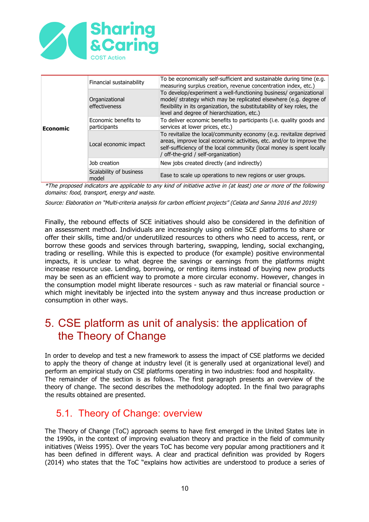

| <b>Economic</b> | Financial sustainability             | To be economically self-sufficient and sustainable during time (e.g.<br>measuring surplus creation, revenue concentration index, etc.)                                                                                                                          |
|-----------------|--------------------------------------|-----------------------------------------------------------------------------------------------------------------------------------------------------------------------------------------------------------------------------------------------------------------|
|                 | Organizational<br>effectiveness      | To develop/experiment a well-functioning business/ organizational<br>model/ strategy which may be replicated elsewhere (e.g. degree of<br>flexibility in its organization, the substitutability of key roles, the<br>level and degree of hierarchization, etc.) |
|                 | Economic benefits to<br>participants | To deliver economic benefits to participants (i.e. quality goods and<br>services at lower prices, etc.)                                                                                                                                                         |
|                 | Local economic impact                | To revitalize the local/community economy (e.g. revitalize deprived<br>areas, improve local economic activities, etc. and/or to improve the<br>self-sufficiency of the local community (local money is spent locally<br>/ off-the-grid / self-organization)     |
|                 | Job creation                         | New jobs created directly (and indirectly)                                                                                                                                                                                                                      |
|                 | Scalability of business<br>model     | Ease to scale up operations to new regions or user groups.                                                                                                                                                                                                      |

\*The proposed indicators are applicable to any kind of initiative active in (at least) one or more of the following domains: food, transport, energy and waste.

Source: Elaboration on "Multi-criteria analysis for carbon efficient projects" (Celata and Sanna 2016 and 2019)

Finally, the rebound effects of SCE initiatives should also be considered in the definition of an assessment method. Individuals are increasingly using online SCE platforms to share or offer their skills, time and/or underutilized resources to others who need to access, rent, or borrow these goods and services through bartering, swapping, lending, social exchanging, trading or reselling. While this is expected to produce (for example) positive environmental impacts, it is unclear to what degree the savings or earnings from the platforms might increase resource use. Lending, borrowing, or renting items instead of buying new products may be seen as an efficient way to promote a more circular economy. However, changes in the consumption model might liberate resources - such as raw material or financial source which might inevitably be injected into the system anyway and thus increase production or consumption in other ways.

# 5. CSE platform as unit of analysis: the application of the Theory of Change

In order to develop and test a new framework to assess the impact of CSE platforms we decided to apply the theory of change at industry level (it is generally used at organizational level) and perform an empirical study on CSE platforms operating in two industries: food and hospitality. The remainder of the section is as follows. The first paragraph presents an overview of the theory of change. The second describes the methodology adopted. In the final two paragraphs the results obtained are presented.

### 5.1. Theory of Change: overview

The Theory of Change (ToC) approach seems to have first emerged in the United States late in the 1990s, in the context of improving evaluation theory and practice in the field of community initiatives (Weiss 1995). Over the years ToC has become very popular among practitioners and it has been defined in different ways. A clear and practical definition was provided by Rogers (2014) who states that the ToC "explains how activities are understood to produce a series of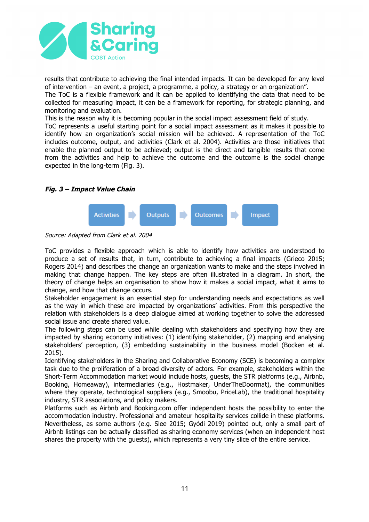

results that contribute to achieving the final intended impacts. It can be developed for any level of intervention – an event, a project, a programme, a policy, a strategy or an organization". The ToC is a flexible framework and it can be applied to identifying the data that need to be collected for measuring impact, it can be a framework for reporting, for strategic planning, and monitoring and evaluation.

This is the reason why it is becoming popular in the social impact assessment field of study. ToC represents a useful starting point for a social impact assessment as it makes it possible to identify how an organization's social mission will be achieved. A representation of the ToC includes outcome, output, and activities (Clark et al. 2004). Activities are those initiatives that enable the planned output to be achieved; output is the direct and tangible results that come from the activities and help to achieve the outcome and the outcome is the social change expected in the long-term (Fig. 3).

#### **Fig. 3 – Impact Value Chain**



Source: Adapted from Clark et al. 2004

ToC provides a flexible approach which is able to identify how activities are understood to produce a set of results that, in turn, contribute to achieving a final impacts (Grieco 2015; Rogers 2014) and describes the change an organization wants to make and the steps involved in making that change happen. The key steps are often illustrated in a diagram. In short, the theory of change helps an organisation to show how it makes a social impact, what it aims to change, and how that change occurs.

Stakeholder engagement is an essential step for understanding needs and expectations as well as the way in which these are impacted by organizations' activities. From this perspective the relation with stakeholders is a deep dialogue aimed at working together to solve the addressed social issue and create shared value.

The following steps can be used while dealing with stakeholders and specifying how they are impacted by sharing economy initiatives: (1) identifying stakeholder, (2) mapping and analysing stakeholders' perception, (3) embedding sustainability in the business model (Bocken et al. 2015).

Identifying stakeholders in the Sharing and Collaborative Economy (SCE) is becoming a complex task due to the proliferation of a broad diversity of actors. For example, stakeholders within the Short-Term Accommodation market would include hosts, guests, the STR platforms (e.g., Airbnb, Booking, Homeaway), intermediaries (e.g., Hostmaker, UnderTheDoormat), the communities where they operate, technological suppliers (e.g., Smoobu, PriceLab), the traditional hospitality industry, STR associations, and policy makers.

Platforms such as Airbnb and Booking.com offer independent hosts the possibility to enter the accommodation industry. Professional and amateur hospitality services collide in these platforms. Nevertheless, as some authors (e.g. Slee 2015; Gyódi 2019) pointed out, only a small part of Airbnb listings can be actually classified as sharing economy services (when an independent host shares the property with the guests), which represents a very tiny slice of the entire service.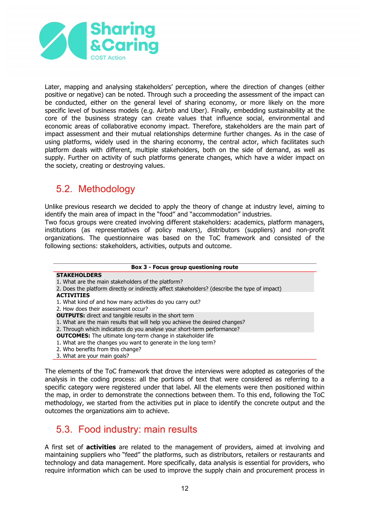

Later, mapping and analysing stakeholders' perception, where the direction of changes (either positive or negative) can be noted. Through such a proceeding the assessment of the impact can be conducted, either on the general level of sharing economy, or more likely on the more specific level of business models (e.g. Airbnb and Uber). Finally, embedding sustainability at the core of the business strategy can create values that influence social, environmental and economic areas of collaborative economy impact. Therefore, stakeholders are the main part of impact assessment and their mutual relationships determine further changes. As in the case of using platforms, widely used in the sharing economy, the central actor, which facilitates such platform deals with different, multiple stakeholders, both on the side of demand, as well as supply. Further on activity of such platforms generate changes, which have a wider impact on the society, creating or destroying values.

### 5.2. Methodology

Unlike previous research we decided to apply the theory of change at industry level, aiming to identify the main area of impact in the "food" and "accommodation" industries.

Two focus groups were created involving different stakeholders: academics, platform managers, institutions (as representatives of policy makers), distributors (suppliers) and non-profit organizations. The questionnaire was based on the ToC framework and consisted of the following sections: stakeholders, activities, outputs and outcome.

#### **Box 3 - Focus group questioning route**

#### **STAKEHOLDERS**

- 1. What are the main stakeholders of the platform?
- 2. Does the platform directly or indirectly affect stakeholders? (describe the type of impact)

#### **ACTIVITIES**

- 1. What kind of and how many activities do you carry out?
- 2. How does their assessment occur?
- **OUTPUTS:** direct and tangible results in the short term
- 1. What are the main results that will help you achieve the desired changes?
- 2. Through which indicators do you analyse your short-term performance?
- **OUTCOMES:** The ultimate long-term change in stakeholder life
- 1. What are the changes you want to generate in the long term?
- 2. Who benefits from this change?
- 3. What are your main goals?

The elements of the ToC framework that drove the interviews were adopted as categories of the analysis in the coding process: all the portions of text that were considered as referring to a specific category were registered under that label. All the elements were then positioned within the map, in order to demonstrate the connections between them. To this end, following the ToC methodology, we started from the activities put in place to identify the concrete output and the outcomes the organizations aim to achieve.

### 5.3. Food industry: main results

A first set of **activities** are related to the management of providers, aimed at involving and maintaining suppliers who "feed" the platforms, such as distributors, retailers or restaurants and technology and data management. More specifically, data analysis is essential for providers, who require information which can be used to improve the supply chain and procurement process in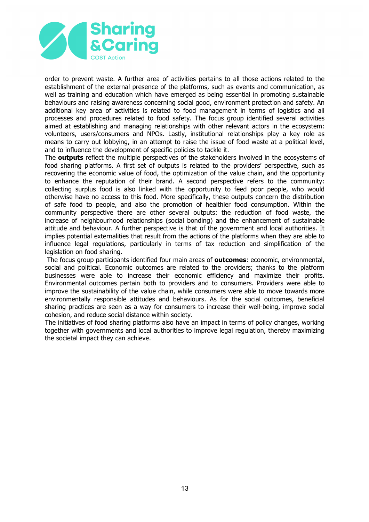

order to prevent waste. A further area of activities pertains to all those actions related to the establishment of the external presence of the platforms, such as events and communication, as well as training and education which have emerged as being essential in promoting sustainable behaviours and raising awareness concerning social good, environment protection and safety. An additional key area of activities is related to food management in terms of logistics and all processes and procedures related to food safety. The focus group identified several activities aimed at establishing and managing relationships with other relevant actors in the ecosystem: volunteers, users/consumers and NPOs. Lastly, institutional relationships play a key role as means to carry out lobbying, in an attempt to raise the issue of food waste at a political level, and to influence the development of specific policies to tackle it.

The **outputs** reflect the multiple perspectives of the stakeholders involved in the ecosystems of food sharing platforms. A first set of outputs is related to the providers' perspective, such as recovering the economic value of food, the optimization of the value chain, and the opportunity to enhance the reputation of their brand. A second perspective refers to the community: collecting surplus food is also linked with the opportunity to feed poor people, who would otherwise have no access to this food. More specifically, these outputs concern the distribution of safe food to people, and also the promotion of healthier food consumption. Within the community perspective there are other several outputs: the reduction of food waste, the increase of neighbourhood relationships (social bonding) and the enhancement of sustainable attitude and behaviour. A further perspective is that of the government and local authorities. It implies potential externalities that result from the actions of the platforms when they are able to influence legal regulations, particularly in terms of tax reduction and simplification of the legislation on food sharing.

The focus group participants identified four main areas of **outcomes**: economic, environmental, social and political. Economic outcomes are related to the providers; thanks to the platform businesses were able to increase their economic efficiency and maximize their profits. Environmental outcomes pertain both to providers and to consumers. Providers were able to improve the sustainability of the value chain, while consumers were able to move towards more environmentally responsible attitudes and behaviours. As for the social outcomes, beneficial sharing practices are seen as a way for consumers to increase their well-being, improve social cohesion, and reduce social distance within society.

The initiatives of food sharing platforms also have an impact in terms of policy changes, working together with governments and local authorities to improve legal regulation, thereby maximizing the societal impact they can achieve.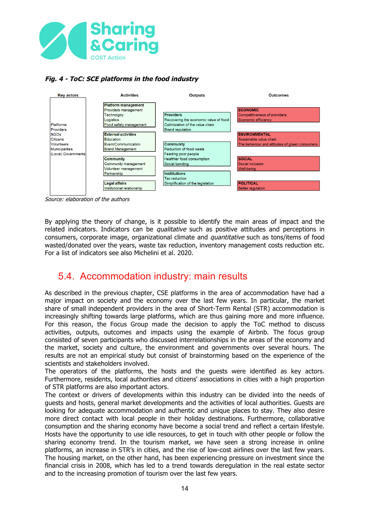

### **Fig. 4 - ToC: SCE platforms in the food industry**



Source: elaboration of the authors

By applying the theory of change, is it possible to identify the main areas of impact and the related indicators. Indicators can be *qualitative* such as positive attitudes and perceptions in consumers, corporate image, organizational climate and *quantitative* such as tons/items of food wasted/donated over the years, waste tax reduction, inventory management costs reduction etc. For a list of indicators see also Michelini et al. 2020.

### 5.4. Accommodation industry: main results

As described in the previous chapter, CSE platforms in the area of accommodation have had a major impact on society and the economy over the last few years. In particular, the market share of small independent providers in the area of Short-Term Rental (STR) accommodation is increasingly shifting towards large platforms, which are thus gaining more and more influence. For this reason, the Focus Group made the decision to apply the ToC method to discuss activities, outputs, outcomes and impacts using the example of Airbnb. The focus group consisted of seven participants who discussed interrelationships in the areas of the economy and the market, society and culture, the environment and governments over several hours. The results are not an empirical study but consist of brainstorming based on the experience of the scientists and stakeholders involved.

The operators of the platforms, the hosts and the guests were identified as key actors. Furthermore, residents, local authorities and citizens' associations in cities with a high proportion of STR platforms are also important actors.

The context or drivers of developments within this industry can be divided into the needs of guests and hosts, general market developments and the activities of local authorities. Guests are looking for adequate accommodation and authentic and unique places to stay. They also desire more direct contact with local people in their holiday destinations. Furthermore, collaborative consumption and the sharing economy have become a social trend and reflect a certain lifestyle. Hosts have the opportunity to use idle resources, to get in touch with other people or follow the sharing economy trend. In the tourism market, we have seen a strong increase in online platforms, an increase in STR's in cities, and the rise of low-cost airlines over the last few years. The housing market, on the other hand, has been experiencing pressure on investment since the financial crisis in 2008, which has led to a trend towards deregulation in the real estate sector and to the increasing promotion of tourism over the last few years.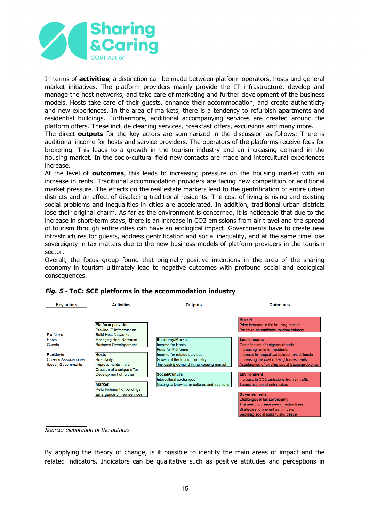

In terms of **activities**, a distinction can be made between platform operators, hosts and general market initiatives. The platform providers mainly provide the IT infrastructure, develop and manage the host networks, and take care of marketing and further development of the business models. Hosts take care of their guests, enhance their accommodation, and create authenticity and new experiences. In the area of markets, there is a tendency to refurbish apartments and residential buildings. Furthermore, additional accompanying services are created around the platform offers. These include cleaning services, breakfast offers, excursions and many more.

The direct **outputs** for the key actors are summarized in the discussion as follows: There is additional income for hosts and service providers. The operators of the platforms receive fees for brokering. This leads to a growth in the tourism industry and an increasing demand in the housing market. In the socio-cultural field new contacts are made and intercultural experiences increase.

At the level of **outcomes**, this leads to increasing pressure on the housing market with an increase in rents. Traditional accommodation providers are facing new competition or additional market pressure. The effects on the real estate markets lead to the gentrification of entire urban districts and an effect of displacing traditional residents. The cost of living is rising and existing social problems and inequalities in cities are accelerated. In addition, traditional urban districts lose their original charm. As far as the environment is concerned, it is noticeable that due to the increase in short-term stays, there is an increase in CO2 emissions from air travel and the spread of tourism through entire cities can have an ecological impact. Governments have to create new infrastructures for guests, address gentrification and social inequality, and at the same time lose sovereignty in tax matters due to the new business models of platform providers in the tourism sector.

Overall, the focus group found that originally positive intentions in the area of the sharing economy in tourism ultimately lead to negative outcomes with profound social and ecological consequences.



### **Fig. 5 - ToC: SCE platforms in the accommodation industry**

Source: elaboration of the authors

By applying the theory of change, is it possible to identify the main areas of impact and the related indicators. Indicators can be qualitative such as positive attitudes and perceptions in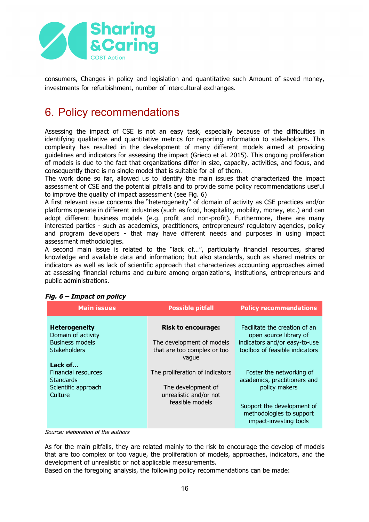

consumers, Changes in policy and legislation and quantitative such Amount of saved money, investments for refurbishment, number of intercultural exchanges.

# 6. Policy recommendations

Assessing the impact of CSE is not an easy task, especially because of the difficulties in identifying qualitative and quantitative metrics for reporting information to stakeholders. This complexity has resulted in the development of many different models aimed at providing guidelines and indicators for assessing the impact (Grieco et al. 2015). This ongoing proliferation of models is due to the fact that organizations differ in size, capacity, activities, and focus, and consequently there is no single model that is suitable for all of them.

The work done so far, allowed us to identify the main issues that characterized the impact assessment of CSE and the potential pitfalls and to provide some policy recommendations useful to improve the quality of impact assessment (see Fig. 6)

A first relevant issue concerns the "heterogeneity" of domain of activity as CSE practices and/or platforms operate in different industries (such as food, hospitality, mobility, money, etc.) and can adopt different business models (e.g. profit and non-profit). Furthermore, there are many interested parties - such as academics, practitioners, entrepreneurs' regulatory agencies, policy and program developers - that may have different needs and purposes in using impact assessment methodologies.

A second main issue is related to the "lack of…", particularly financial resources, shared knowledge and available data and information; but also standards, such as shared metrics or indicators as well as lack of scientific approach that characterizes accounting approaches aimed at assessing financial returns and culture among organizations, institutions, entrepreneurs and public administrations.

| <b>Main issues</b>                                                                                                                                                                         | <b>Possible pitfall</b>                                                                                                                                                                              | <b>Policy recommendations</b>                                                                                                                                                                                                                                                               |
|--------------------------------------------------------------------------------------------------------------------------------------------------------------------------------------------|------------------------------------------------------------------------------------------------------------------------------------------------------------------------------------------------------|---------------------------------------------------------------------------------------------------------------------------------------------------------------------------------------------------------------------------------------------------------------------------------------------|
| <b>Heterogeneity</b><br>Domain of activity<br><b>Business models</b><br><b>Stakeholders</b><br>Lack of<br><b>Financial resources</b><br><b>Standards</b><br>Scientific approach<br>Culture | <b>Risk to encourage:</b><br>The development of models<br>that are too complex or too<br>vague<br>The proliferation of indicators<br>The development of<br>unrealistic and/or not<br>feasible models | Facilitate the creation of an<br>open source library of<br>indicators and/or easy-to-use<br>toolbox of feasible indicators<br>Foster the networking of<br>academics, practitioners and<br>policy makers<br>Support the development of<br>methodologies to support<br>impact-investing tools |

### **Fig. 6 – Impact on policy**

Source: elaboration of the authors

As for the main pitfalls, they are related mainly to the risk to encourage the develop of models that are too complex or too vague, the proliferation of models, approaches, indicators, and the development of unrealistic or not applicable measurements.

Based on the foregoing analysis, the following policy recommendations can be made: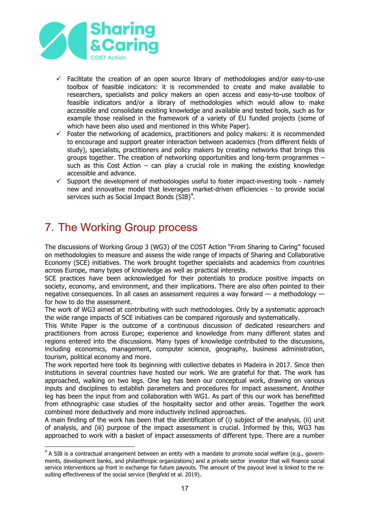

- $\checkmark$  Facilitate the creation of an open source library of methodologies and/or easy-to-use toolbox of feasible indicators: it is recommended to create and make available to researchers, specialists and policy makers an open access and easy-to-use toolbox of feasible indicators and/or a library of methodologies which would allow to make accessible and consolidate existing knowledge and available and tested tools, such as for example those realised in the framework of a variety of EU funded projects (some of which have been also used and mentioned in this White Paper).
- $\checkmark$  Foster the networking of academics, practitioners and policy makers: it is recommended to encourage and support greater interaction between academics (from different fields of study), specialists, practitioners and policy makers by creating networks that brings this groups together. The creation of networking opportunities and long-term programmes – such as this Cost Action – can play a crucial role in making the existing knowledge accessible and advance.
- $\checkmark$  Support the development of methodologies useful to foster impact-investing tools namely new and innovative model that leverages market-driven efficiencies - to provide social services such as Social Impact Bonds  $(SIB)^4$ .

# 7. The Working Group process

The discussions of Working Group 3 (WG3) of the COST Action "From Sharing to Caring" focused on methodologies to measure and assess the wide range of impacts of Sharing and Collaborative Economy (SCE) initiatives. The work brought together specialists and academics from countries across Europe, many types of knowledge as well as practical interests.

SCE practices have been acknowledged for their potentials to produce positive impacts on society, economy, and environment, and their implications. There are also often pointed to their negative consequences. In all cases an assessment requires a way forward — a methodology for how to do the assessment.

The work of WG3 aimed at contributing with such methodologies. Only by a systematic approach the wide range impacts of SCE initiatives can be compared rigorously and systematically.

This White Paper is the outcome of a continuous discussion of dedicated researchers and practitioners from across Europe; experience and knowledge from many different states and regions entered into the discussions. Many types of knowledge contributed to the discussions, including economics, management, computer science, geography, business administration, tourism, political economy and more.

The work reported here took its beginning with collective debates in Madeira in 2017. Since then institutions in several countries have hosted our work. We are grateful for that. The work has approached, walking on two legs. One leg has been our conceptual work, drawing on various inputs and disciplines to establish parameters and procedures for impact assessment. Another leg has been the input from and collaboration with WG1. As part of this our work has benefitted from ethnographic case studies of the hospitality sector and other areas. Together the work combined more deductively and more inductively inclined approaches.

A main finding of the work has been that the identification of (i) subject of the analysis, (ii) unit of analysis, and (iii) purpose of the impact assessment is crucial. Informed by this, WG3 has approached to work with a basket of impact assessments of different type. There are a number

 $4$  A SIB is a contractual arrangement between an entity with a mandate to promote social welfare (e.g., governments, development banks, and philanthropic organizations) and a private sector investor that will finance social service interventions up front in exchange for future payouts. The amount of the payout level is linked to the resulting effectiveness of the social service (Bergfeld et al. 2019).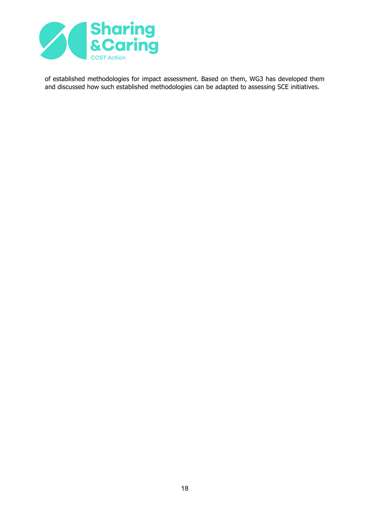

of established methodologies for impact assessment. Based on them, WG3 has developed them and discussed how such established methodologies can be adapted to assessing SCE initiatives.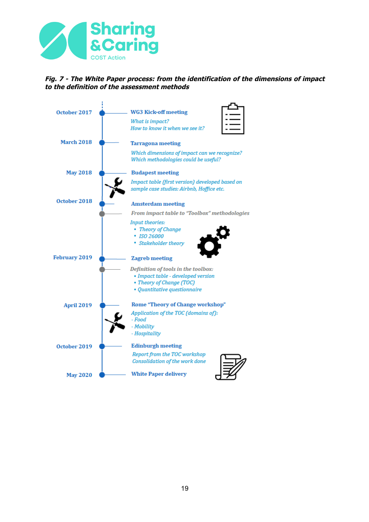

#### **Fig. 7 - The White Paper process: from the identification of the dimensions of impact to the definition of the assessment methods**

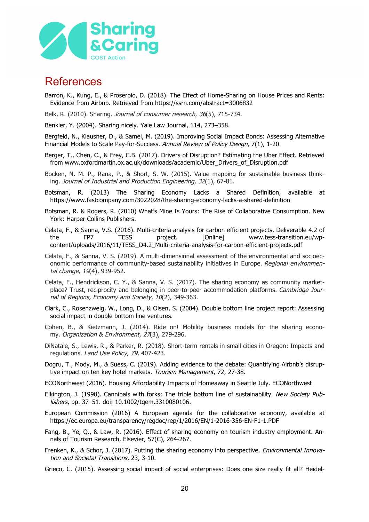

### References

- Barron, K., Kung, E., & Proserpio, D. (2018). The Effect of Home-Sharing on House Prices and Rents: Evidence from Airbnb. Retrieved from https://ssrn.com/abstract=3006832
- Belk, R. (2010). Sharing. *Journal of consumer research*, 36(5), 715-734.
- Benkler, Y. (2004). Sharing nicely. Yale Law Journal, 114, 273–358.

Bergfeld, N., Klausner, D., & Samel, M. (2019). Improving Social Impact Bonds: Assessing Alternative Financial Models to Scale Pay-for-Success. Annual Review of Policy Design, 7(1), 1-20.

- Berger, T., Chen, C., & Frey, C.B. (2017). Drivers of Disruption? Estimating the Uber Effect. Retrieved from www.oxfordmartin.ox.ac.uk/downloads/academic/Uber\_Drivers\_of\_Disruption.pdf
- Bocken, N. M. P., Rana, P., & Short, S. W. (2015). Value mapping for sustainable business thinking. Journal of Industrial and Production Engineering, 32(1), 67-81.
- Botsman, R. (2013) The Sharing Economy Lacks a Shared Definition, available at https://www.fastcompany.com/3022028/the-sharing-economy-lacks-a-shared-definition
- Botsman, R. & Rogers, R. (2010) What's Mine Is Yours: The Rise of Collaborative Consumption. New York: Harper Collins Publishers.
- Celata, F., & Sanna, V.S. (2016). Multi-criteria analysis for carbon efficient projects, Deliverable 4.2 of the FP7 TESS project. [Online] www.tess-transition.eu/wpcontent/uploads/2016/11/TESS\_D4.2\_Multi-criteria-analysis-for-carbon-efficient-projects.pdf
- Celata, F., & Sanna, V. S. (2019). A multi-dimensional assessment of the environmental and socioeconomic performance of community-based sustainability initiatives in Europe. Regional environmental change, 19(4), 939-952.
- Celata, F., Hendrickson, C. Y., & Sanna, V. S. (2017). The sharing economy as community marketplace? Trust, reciprocity and belonging in peer-to-peer accommodation platforms. Cambridge Journal of Regions, Economy and Society, 10(2), 349-363.
- Clark, C., Rosenzweig, W., Long, D., & Olsen, S. (2004). Double bottom line project report: Assessing social impact in double bottom line ventures.
- Cohen, B., & Kietzmann, J. (2014). Ride on! Mobility business models for the sharing economy. Organization & Environment, 27(3), 279-296.
- DiNatale, S., Lewis, R., & Parker, R. (2018). Short-term rentals in small cities in Oregon: Impacts and regulations. Land Use Policy, 79, 407-423.
- Dogru, T., Mody, M., & Suess, C. (2019). Adding evidence to the debate: Quantifying Airbnb's disruptive impact on ten key hotel markets. Tourism Management, 72, 27-38.
- ECONorthwest (2016). Housing Affordability Impacts of Homeaway in Seattle July. ECONorthwest
- Elkington, J. (1998). Cannibals with forks: The triple bottom line of sustainability. New Society Publishers, pp. 37–51. doi: 10.1002/tqem.3310080106.
- European Commission (2016) A European agenda for the collaborative economy, available at https://ec.europa.eu/transparency/regdoc/rep/1/2016/EN/1-2016-356-EN-F1-1.PDF
- Fang, B., Ye, Q., & Law, R. (2016). Effect of sharing economy on tourism industry employment. Annals of Tourism Research, Elsevier, 57(C), 264-267.
- Frenken, K., & Schor, J. (2017). Putting the sharing economy into perspective. Environmental Innovation and Societal Transitions, 23, 3-10.
- Grieco, C. (2015). Assessing social impact of social enterprises: Does one size really fit all? Heidel-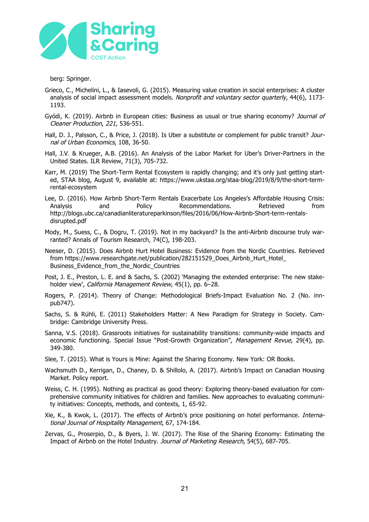

berg: Springer.

- Grieco, C., Michelini, L., & Iasevoli, G. (2015). Measuring value creation in social enterprises: A cluster analysis of social impact assessment models. Nonprofit and voluntary sector quarterly, 44(6), 1173-1193.
- Gyódi, K. (2019). Airbnb in European cities: Business as usual or true sharing economy? Journal of Cleaner Production, 221, 536-551.
- Hall, D. J., Palsson, C., & Price, J. (2018). Is Uber a substitute or complement for public transit? Journal of Urban Economics, 108, 36-50.
- Hall, J.V. & Krueger, A.B. (2016). An Analysis of the Labor Market for Uber's Driver-Partners in the United States. ILR Review, 71(3), 705-732.
- Karr, M. (2019) The Short-Term Rental Ecosystem is rapidly changing; and it's only just getting started, STAA blog, August 9, available at: https://www.ukstaa.org/staa-blog/2019/8/9/the-short-termrental-ecosystem
- Lee, D. (2016). How Airbnb Short-Term Rentals Exacerbate Los Angeles's Affordable Housing Crisis: Analysis and Policy Recommendations. Retrieved from http://blogs.ubc.ca/canadianliteratureparkinson/files/2016/06/How-Airbnb-Short-term-rentalsdisrupted.pdf
- Mody, M., Suess, C., & Dogru, T. (2019). Not in my backyard? Is the anti-Airbnb discourse truly warranted? Annals of Tourism Research, 74(C), 198-203.
- Neeser, D. (2015). Does Airbnb Hurt Hotel Business: Evidence from the Nordic Countries. Retrieved from https://www.researchgate.net/publication/282151529\_Does\_Airbnb\_Hurt\_Hotel Business\_Evidence\_from\_the\_Nordic\_Countries
- Post, J. E., Preston, L. E. and & Sachs, S. (2002) 'Managing the extended enterprise: The new stakeholder view', California Management Review, 45(1), pp. 6-28.
- Rogers, P. (2014). Theory of Change: Methodological Briefs-Impact Evaluation No. 2 (No. innpub747).
- Sachs, S. & Rühli, E. (2011) Stakeholders Matter: A New Paradigm for Strategy in Society. Cambridge: Cambridge University Press.
- Sanna, V.S. (2018). Grassroots initiatives for sustainability transitions: community-wide impacts and economic functioning. Special Issue "Post-Growth Organization", Management Revue, 29(4), pp. 349-380.
- Slee, T. (2015). What is Yours is Mine: Against the Sharing Economy. New York: OR Books.
- Wachsmuth D., Kerrigan, D., Chaney, D. & Shillolo, A. (2017). Airbnb's Impact on Canadian Housing Market. Policy report.
- Weiss, C. H. (1995). Nothing as practical as good theory: Exploring theory-based evaluation for comprehensive community initiatives for children and families. New approaches to evaluating community initiatives: Concepts, methods, and contexts, 1, 65-92.
- Xie, K., & Kwok, L. (2017). The effects of Airbnb's price positioning on hotel performance. *Interna*tional Journal of Hospitality Management, 67, 174-184.
- Zervas, G., Proserpio, D., & Byers, J. W. (2017). The Rise of the Sharing Economy: Estimating the Impact of Airbnb on the Hotel Industry. Journal of Marketing Research, 54(5), 687-705.